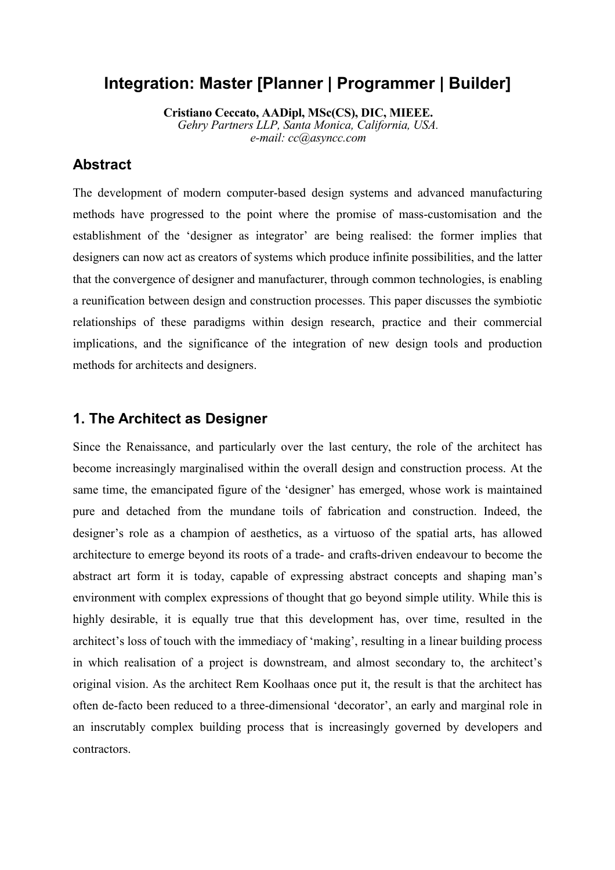# **Integration: Master [Planner | Programmer | Builder]**

**Cristiano Ceccato, AADipl, MSc(CS), DIC, MIEEE.** *Gehry Partners LLP, Santa Monica, California, USA. e-mail: cc@asyncc.com*

### **Abstract**

The development of modern computer-based design systems and advanced manufacturing methods have progressed to the point where the promise of mass-customisation and the establishment of the 'designer as integrator' are being realised: the former implies that designers can now act as creators of systems which produce infinite possibilities, and the latter that the convergence of designer and manufacturer, through common technologies, is enabling a reunification between design and construction processes. This paper discusses the symbiotic relationships of these paradigms within design research, practice and their commercial implications, and the significance of the integration of new design tools and production methods for architects and designers.

#### **1. The Architect as Designer**

Since the Renaissance, and particularly over the last century, the role of the architect has become increasingly marginalised within the overall design and construction process. At the same time, the emancipated figure of the 'designer' has emerged, whose work is maintained pure and detached from the mundane toils of fabrication and construction. Indeed, the designer's role as a champion of aesthetics, as a virtuoso of the spatial arts, has allowed architecture to emerge beyond its roots of a trade- and crafts-driven endeavour to become the abstract art form it is today, capable of expressing abstract concepts and shaping man's environment with complex expressions of thought that go beyond simple utility. While this is highly desirable, it is equally true that this development has, over time, resulted in the architect's loss of touch with the immediacy of 'making', resulting in a linear building process in which realisation of a project is downstream, and almost secondary to, the architect's original vision. As the architect Rem Koolhaas once put it, the result is that the architect has often de-facto been reduced to a three-dimensional 'decorator', an early and marginal role in an inscrutably complex building process that is increasingly governed by developers and contractors.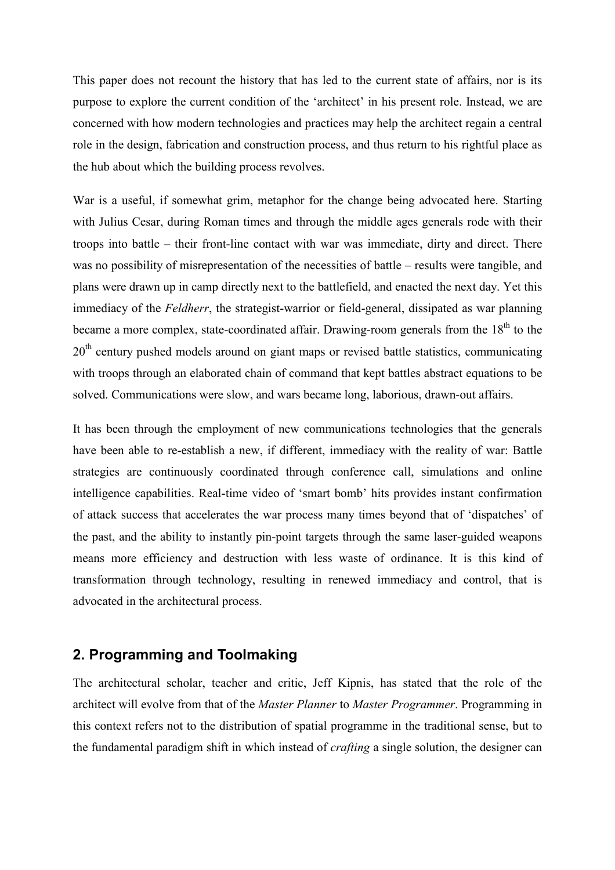This paper does not recount the history that has led to the current state of affairs, nor is its purpose to explore the current condition of the 'architect' in his present role. Instead, we are concerned with how modern technologies and practices may help the architect regain a central role in the design, fabrication and construction process, and thus return to his rightful place as the hub about which the building process revolves.

War is a useful, if somewhat grim, metaphor for the change being advocated here. Starting with Julius Cesar, during Roman times and through the middle ages generals rode with their troops into battle – their front-line contact with war was immediate, dirty and direct. There was no possibility of misrepresentation of the necessities of battle – results were tangible, and plans were drawn up in camp directly next to the battlefield, and enacted the next day. Yet this immediacy of the *Feldherr*, the strategist-warrior or field-general, dissipated as war planning became a more complex, state-coordinated affair. Drawing-room generals from the 18<sup>th</sup> to the 20<sup>th</sup> century pushed models around on giant maps or revised battle statistics, communicating with troops through an elaborated chain of command that kept battles abstract equations to be solved. Communications were slow, and wars became long, laborious, drawn-out affairs.

It has been through the employment of new communications technologies that the generals have been able to re-establish a new, if different, immediacy with the reality of war: Battle strategies are continuously coordinated through conference call, simulations and online intelligence capabilities. Real-time video of 'smart bomb' hits provides instant confirmation of attack success that accelerates the war process many times beyond that of 'dispatches' of the past, and the ability to instantly pin-point targets through the same laser-guided weapons means more efficiency and destruction with less waste of ordinance. It is this kind of transformation through technology, resulting in renewed immediacy and control, that is advocated in the architectural process.

## **2. Programming and Toolmaking**

The architectural scholar, teacher and critic, Jeff Kipnis, has stated that the role of the architect will evolve from that of the *Master Planner* to *Master Programmer*. Programming in this context refers not to the distribution of spatial programme in the traditional sense, but to the fundamental paradigm shift in which instead of *crafting* a single solution, the designer can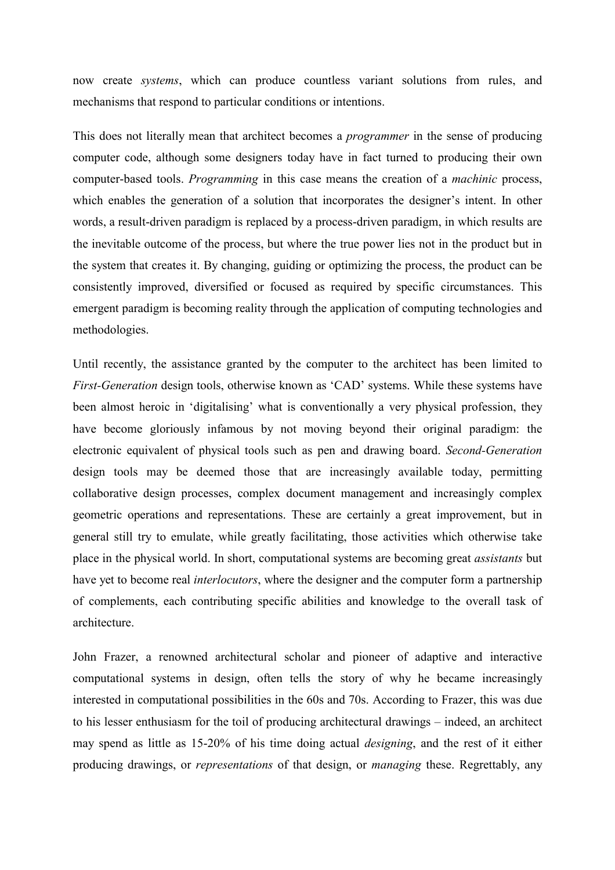now create *systems*, which can produce countless variant solutions from rules, and mechanisms that respond to particular conditions or intentions.

This does not literally mean that architect becomes a *programmer* in the sense of producing computer code, although some designers today have in fact turned to producing their own computer-based tools. *Programming* in this case means the creation of a *machinic* process, which enables the generation of a solution that incorporates the designer's intent. In other words, a result-driven paradigm is replaced by a process-driven paradigm, in which results are the inevitable outcome of the process, but where the true power lies not in the product but in the system that creates it. By changing, guiding or optimizing the process, the product can be consistently improved, diversified or focused as required by specific circumstances. This emergent paradigm is becoming reality through the application of computing technologies and methodologies.

Until recently, the assistance granted by the computer to the architect has been limited to *First-Generation* design tools, otherwise known as 'CAD' systems. While these systems have been almost heroic in 'digitalising' what is conventionally a very physical profession, they have become gloriously infamous by not moving beyond their original paradigm: the electronic equivalent of physical tools such as pen and drawing board. *Second-Generation* design tools may be deemed those that are increasingly available today, permitting collaborative design processes, complex document management and increasingly complex geometric operations and representations. These are certainly a great improvement, but in general still try to emulate, while greatly facilitating, those activities which otherwise take place in the physical world. In short, computational systems are becoming great *assistants* but have yet to become real *interlocutors*, where the designer and the computer form a partnership of complements, each contributing specific abilities and knowledge to the overall task of architecture.

John Frazer, a renowned architectural scholar and pioneer of adaptive and interactive computational systems in design, often tells the story of why he became increasingly interested in computational possibilities in the 60s and 70s. According to Frazer, this was due to his lesser enthusiasm for the toil of producing architectural drawings – indeed, an architect may spend as little as 15-20% of his time doing actual *designing*, and the rest of it either producing drawings, or *representations* of that design, or *managing* these. Regrettably, any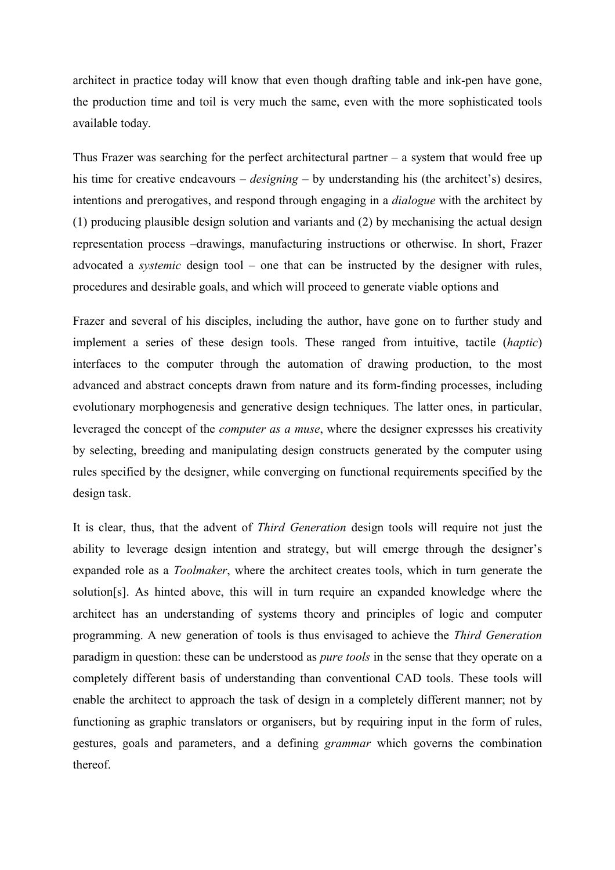architect in practice today will know that even though drafting table and ink-pen have gone, the production time and toil is very much the same, even with the more sophisticated tools available today.

Thus Frazer was searching for the perfect architectural partner  $-$  a system that would free up his time for creative endeavours – *designing* – by understanding his (the architect's) desires, intentions and prerogatives, and respond through engaging in a *dialogue* with the architect by (1) producing plausible design solution and variants and (2) by mechanising the actual design representation process –drawings, manufacturing instructions or otherwise. In short, Frazer advocated a *systemic* design tool – one that can be instructed by the designer with rules, procedures and desirable goals, and which will proceed to generate viable options and

Frazer and several of his disciples, including the author, have gone on to further study and implement a series of these design tools. These ranged from intuitive, tactile (*haptic*) interfaces to the computer through the automation of drawing production, to the most advanced and abstract concepts drawn from nature and its form-finding processes, including evolutionary morphogenesis and generative design techniques. The latter ones, in particular, leveraged the concept of the *computer as a muse*, where the designer expresses his creativity by selecting, breeding and manipulating design constructs generated by the computer using rules specified by the designer, while converging on functional requirements specified by the design task.

It is clear, thus, that the advent of *Third Generation* design tools will require not just the ability to leverage design intention and strategy, but will emerge through the designer's expanded role as a *Toolmaker*, where the architect creates tools, which in turn generate the solution[s]. As hinted above, this will in turn require an expanded knowledge where the architect has an understanding of systems theory and principles of logic and computer programming. A new generation of tools is thus envisaged to achieve the *Third Generation* paradigm in question: these can be understood as *pure tools* in the sense that they operate on a completely different basis of understanding than conventional CAD tools. These tools will enable the architect to approach the task of design in a completely different manner; not by functioning as graphic translators or organisers, but by requiring input in the form of rules, gestures, goals and parameters, and a defining *grammar* which governs the combination thereof.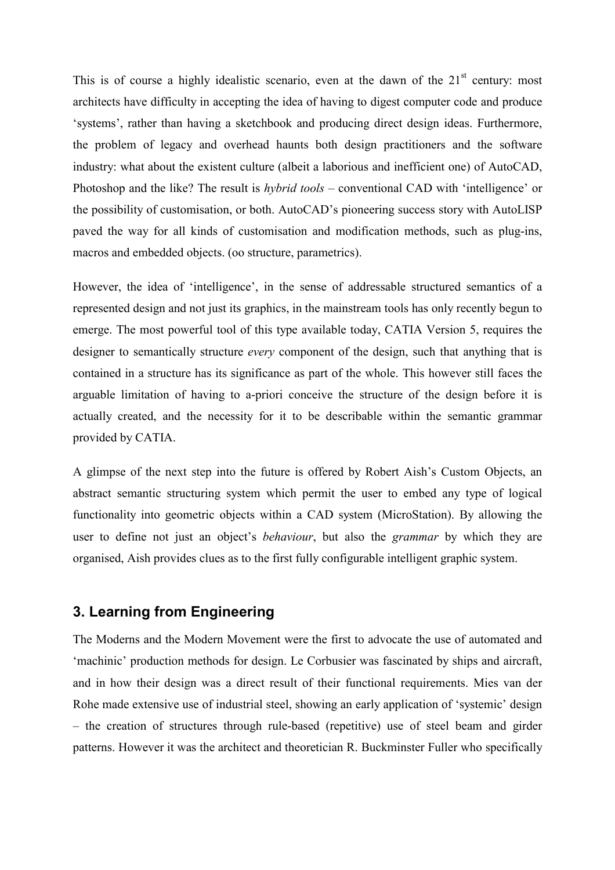This is of course a highly idealistic scenario, even at the dawn of the  $21<sup>st</sup>$  century: most architects have difficulty in accepting the idea of having to digest computer code and produce 'systems', rather than having a sketchbook and producing direct design ideas. Furthermore, the problem of legacy and overhead haunts both design practitioners and the software industry: what about the existent culture (albeit a laborious and inefficient one) of AutoCAD, Photoshop and the like? The result is *hybrid tools* – conventional CAD with 'intelligence' or the possibility of customisation, or both. AutoCAD's pioneering success story with AutoLISP paved the way for all kinds of customisation and modification methods, such as plug-ins, macros and embedded objects. (oo structure, parametrics).

However, the idea of 'intelligence', in the sense of addressable structured semantics of a represented design and not just its graphics, in the mainstream tools has only recently begun to emerge. The most powerful tool of this type available today, CATIA Version 5, requires the designer to semantically structure *every* component of the design, such that anything that is contained in a structure has its significance as part of the whole. This however still faces the arguable limitation of having to a-priori conceive the structure of the design before it is actually created, and the necessity for it to be describable within the semantic grammar provided by CATIA.

A glimpse of the next step into the future is offered by Robert Aish's Custom Objects, an abstract semantic structuring system which permit the user to embed any type of logical functionality into geometric objects within a CAD system (MicroStation). By allowing the user to define not just an object's *behaviour*, but also the *grammar* by which they are organised, Aish provides clues as to the first fully configurable intelligent graphic system.

### **3. Learning from Engineering**

The Moderns and the Modern Movement were the first to advocate the use of automated and 'machinic' production methods for design. Le Corbusier was fascinated by ships and aircraft, and in how their design was a direct result of their functional requirements. Mies van der Rohe made extensive use of industrial steel, showing an early application of 'systemic' design – the creation of structures through rule-based (repetitive) use of steel beam and girder patterns. However it was the architect and theoretician R. Buckminster Fuller who specifically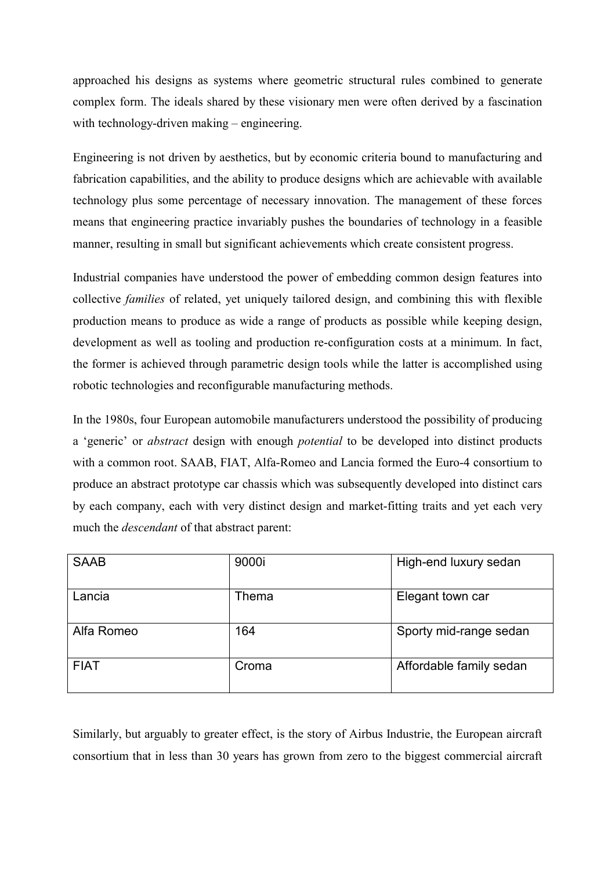approached his designs as systems where geometric structural rules combined to generate complex form. The ideals shared by these visionary men were often derived by a fascination with technology-driven making – engineering.

Engineering is not driven by aesthetics, but by economic criteria bound to manufacturing and fabrication capabilities, and the ability to produce designs which are achievable with available technology plus some percentage of necessary innovation. The management of these forces means that engineering practice invariably pushes the boundaries of technology in a feasible manner, resulting in small but significant achievements which create consistent progress.

Industrial companies have understood the power of embedding common design features into collective *families* of related, yet uniquely tailored design, and combining this with flexible production means to produce as wide a range of products as possible while keeping design, development as well as tooling and production re-configuration costs at a minimum. In fact, the former is achieved through parametric design tools while the latter is accomplished using robotic technologies and reconfigurable manufacturing methods.

In the 1980s, four European automobile manufacturers understood the possibility of producing a 'generic' or *abstract* design with enough *potential* to be developed into distinct products with a common root. SAAB, FIAT, Alfa-Romeo and Lancia formed the Euro-4 consortium to produce an abstract prototype car chassis which was subsequently developed into distinct cars by each company, each with very distinct design and market-fitting traits and yet each very much the *descendant* of that abstract parent:

| <b>SAAB</b> | 9000i | High-end luxury sedan   |
|-------------|-------|-------------------------|
| Lancia      | Thema | Elegant town car        |
| Alfa Romeo  | 164   | Sporty mid-range sedan  |
| <b>FIAT</b> | Croma | Affordable family sedan |

Similarly, but arguably to greater effect, is the story of Airbus Industrie, the European aircraft consortium that in less than 30 years has grown from zero to the biggest commercial aircraft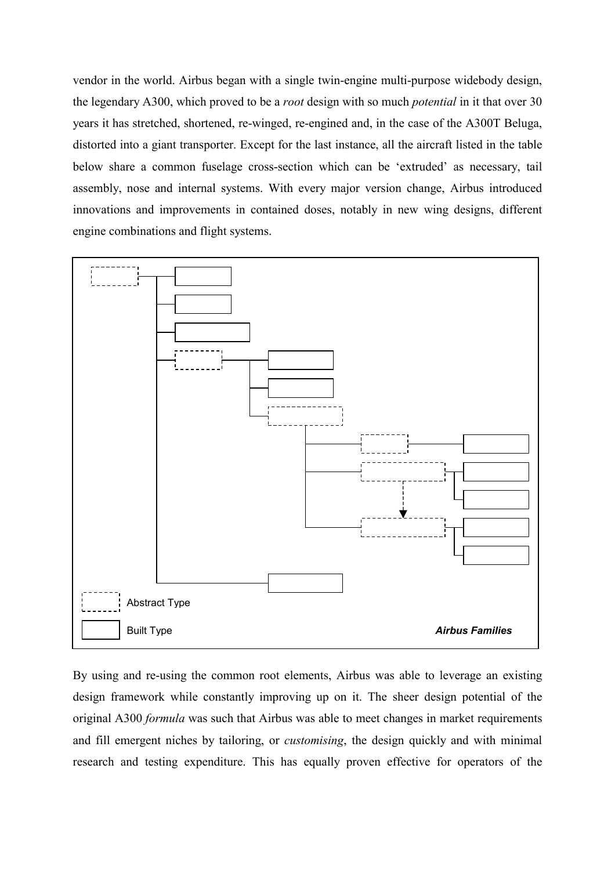vendor in the world. Airbus began with a single twin-engine multi-purpose widebody design, the legendary A300, which proved to be a *root* design with so much *potential* in it that over 30 years it has stretched, shortened, re-winged, re-engined and, in the case of the A300T Beluga, distorted into a giant transporter. Except for the last instance, all the aircraft listed in the table below share a common fuselage cross-section which can be 'extruded' as necessary, tail assembly, nose and internal systems. With every major version change, Airbus introduced innovations and improvements in contained doses, notably in new wing designs, different engine combinations and flight systems.



By using and re-using the common root elements, Airbus was able to leverage an existing design framework while constantly improving up on it. The sheer design potential of the original A300 *formula* was such that Airbus was able to meet changes in market requirements and fill emergent niches by tailoring, or *customising*, the design quickly and with minimal research and testing expenditure. This has equally proven effective for operators of the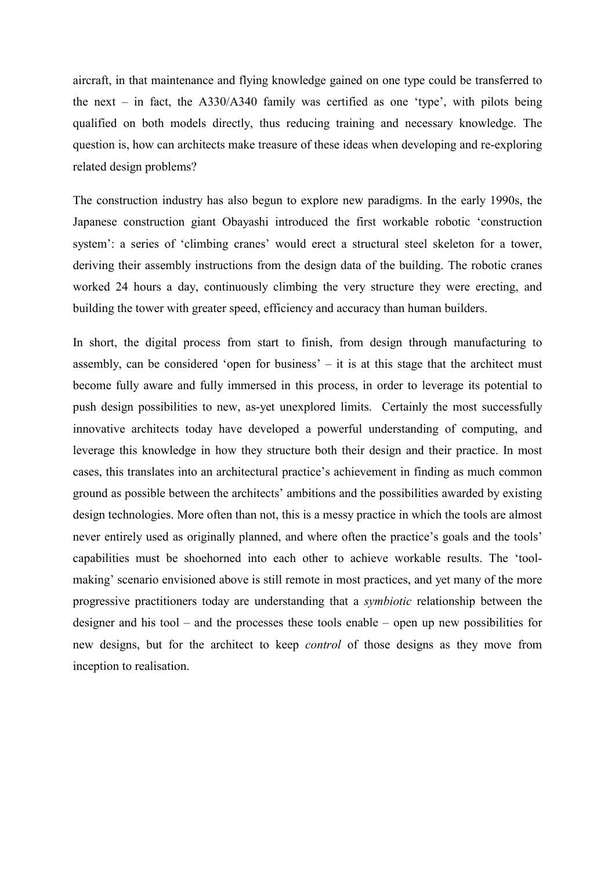aircraft, in that maintenance and flying knowledge gained on one type could be transferred to the next – in fact, the  $A330/A340$  family was certified as one 'type', with pilots being qualified on both models directly, thus reducing training and necessary knowledge. The question is, how can architects make treasure of these ideas when developing and re-exploring related design problems?

The construction industry has also begun to explore new paradigms. In the early 1990s, the Japanese construction giant Obayashi introduced the first workable robotic 'construction system': a series of 'climbing cranes' would erect a structural steel skeleton for a tower, deriving their assembly instructions from the design data of the building. The robotic cranes worked 24 hours a day, continuously climbing the very structure they were erecting, and building the tower with greater speed, efficiency and accuracy than human builders.

In short, the digital process from start to finish, from design through manufacturing to assembly, can be considered 'open for business' – it is at this stage that the architect must become fully aware and fully immersed in this process, in order to leverage its potential to push design possibilities to new, as-yet unexplored limits. Certainly the most successfully innovative architects today have developed a powerful understanding of computing, and leverage this knowledge in how they structure both their design and their practice. In most cases, this translates into an architectural practice's achievement in finding as much common ground as possible between the architects' ambitions and the possibilities awarded by existing design technologies. More often than not, this is a messy practice in which the tools are almost never entirely used as originally planned, and where often the practice's goals and the tools' capabilities must be shoehorned into each other to achieve workable results. The 'toolmaking' scenario envisioned above is still remote in most practices, and yet many of the more progressive practitioners today are understanding that a *symbiotic* relationship between the designer and his tool – and the processes these tools enable – open up new possibilities for new designs, but for the architect to keep *control* of those designs as they move from inception to realisation.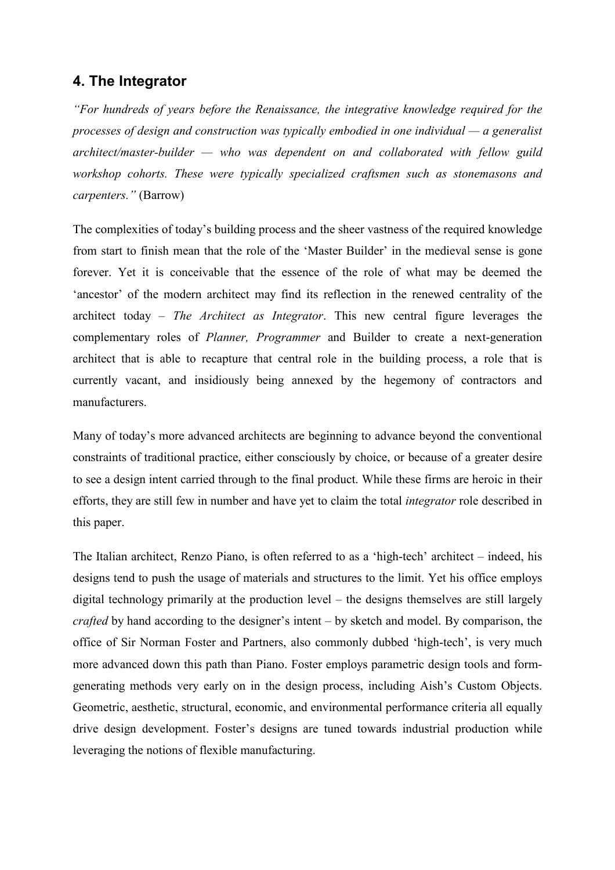### **4. The Integrator**

*"For hundreds of years before the Renaissance, the integrative knowledge required for the processes of design and construction was typically embodied in one individual — a generalist architect/master-builder — who was dependent on and collaborated with fellow guild workshop cohorts. These were typically specialized craftsmen such as stonemasons and carpenters."* (Barrow)

The complexities of today's building process and the sheer vastness of the required knowledge from start to finish mean that the role of the 'Master Builder' in the medieval sense is gone forever. Yet it is conceivable that the essence of the role of what may be deemed the 'ancestor' of the modern architect may find its reflection in the renewed centrality of the architect today – *The Architect as Integrator*. This new central figure leverages the complementary roles of *Planner, Programmer* and Builder to create a next-generation architect that is able to recapture that central role in the building process, a role that is currently vacant, and insidiously being annexed by the hegemony of contractors and manufacturers.

Many of today's more advanced architects are beginning to advance beyond the conventional constraints of traditional practice, either consciously by choice, or because of a greater desire to see a design intent carried through to the final product. While these firms are heroic in their efforts, they are still few in number and have yet to claim the total *integrator* role described in this paper.

The Italian architect, Renzo Piano, is often referred to as a 'high-tech' architect – indeed, his designs tend to push the usage of materials and structures to the limit. Yet his office employs digital technology primarily at the production level – the designs themselves are still largely *crafted* by hand according to the designer's intent – by sketch and model. By comparison, the office of Sir Norman Foster and Partners, also commonly dubbed 'high-tech', is very much more advanced down this path than Piano. Foster employs parametric design tools and formgenerating methods very early on in the design process, including Aish's Custom Objects. Geometric, aesthetic, structural, economic, and environmental performance criteria all equally drive design development. Foster's designs are tuned towards industrial production while leveraging the notions of flexible manufacturing.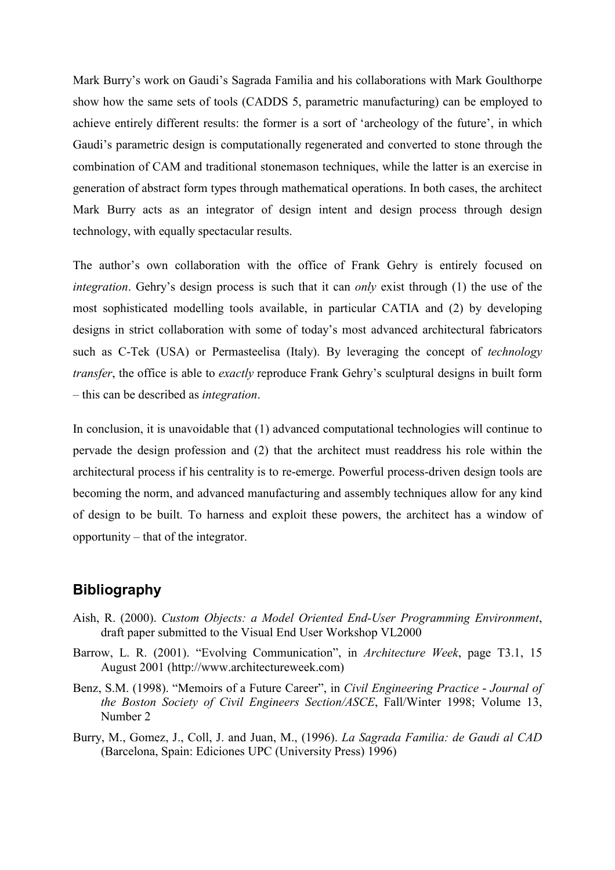Mark Burry's work on Gaudi's Sagrada Familia and his collaborations with Mark Goulthorpe show how the same sets of tools (CADDS 5, parametric manufacturing) can be employed to achieve entirely different results: the former is a sort of 'archeology of the future', in which Gaudi's parametric design is computationally regenerated and converted to stone through the combination of CAM and traditional stonemason techniques, while the latter is an exercise in generation of abstract form types through mathematical operations. In both cases, the architect Mark Burry acts as an integrator of design intent and design process through design technology, with equally spectacular results.

The author's own collaboration with the office of Frank Gehry is entirely focused on *integration*. Gehry's design process is such that it can *only* exist through (1) the use of the most sophisticated modelling tools available, in particular CATIA and (2) by developing designs in strict collaboration with some of today's most advanced architectural fabricators such as C-Tek (USA) or Permasteelisa (Italy). By leveraging the concept of *technology transfer*, the office is able to *exactly* reproduce Frank Gehry's sculptural designs in built form – this can be described as *integration*.

In conclusion, it is unavoidable that (1) advanced computational technologies will continue to pervade the design profession and (2) that the architect must readdress his role within the architectural process if his centrality is to re-emerge. Powerful process-driven design tools are becoming the norm, and advanced manufacturing and assembly techniques allow for any kind of design to be built. To harness and exploit these powers, the architect has a window of opportunity – that of the integrator.

### **Bibliography**

- Aish, R. (2000). *Custom Objects: a Model Oriented End-User Programming Environment*, draft paper submitted to the Visual End User Workshop VL2000
- Barrow, L. R. (2001). "Evolving Communication", in *Architecture Week*, page T3.1, 15 August 2001 (http://www.architectureweek.com)
- Benz, S.M. (1998). "Memoirs of a Future Career", in *Civil Engineering Practice Journal of the Boston Society of Civil Engineers Section/ASCE*, Fall/Winter 1998; Volume 13, Number 2
- Burry, M., Gomez, J., Coll, J. and Juan, M., (1996). *La Sagrada Familia: de Gaudi al CAD* (Barcelona, Spain: Ediciones UPC (University Press) 1996)